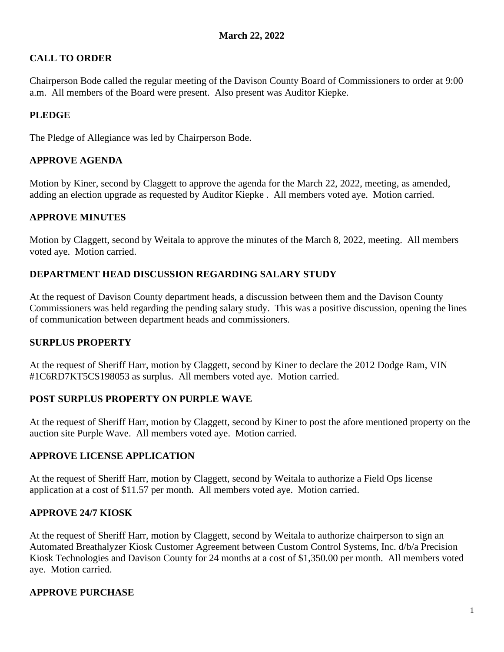## **CALL TO ORDER**

Chairperson Bode called the regular meeting of the Davison County Board of Commissioners to order at 9:00 a.m. All members of the Board were present. Also present was Auditor Kiepke.

## **PLEDGE**

The Pledge of Allegiance was led by Chairperson Bode.

## **APPROVE AGENDA**

Motion by Kiner, second by Claggett to approve the agenda for the March 22, 2022, meeting, as amended, adding an election upgrade as requested by Auditor Kiepke . All members voted aye. Motion carried.

## **APPROVE MINUTES**

Motion by Claggett, second by Weitala to approve the minutes of the March 8, 2022, meeting. All members voted aye. Motion carried.

## **DEPARTMENT HEAD DISCUSSION REGARDING SALARY STUDY**

At the request of Davison County department heads, a discussion between them and the Davison County Commissioners was held regarding the pending salary study. This was a positive discussion, opening the lines of communication between department heads and commissioners.

### **SURPLUS PROPERTY**

At the request of Sheriff Harr, motion by Claggett, second by Kiner to declare the 2012 Dodge Ram, VIN #1C6RD7KT5CS198053 as surplus. All members voted aye. Motion carried.

### **POST SURPLUS PROPERTY ON PURPLE WAVE**

At the request of Sheriff Harr, motion by Claggett, second by Kiner to post the afore mentioned property on the auction site Purple Wave. All members voted aye. Motion carried.

### **APPROVE LICENSE APPLICATION**

At the request of Sheriff Harr, motion by Claggett, second by Weitala to authorize a Field Ops license application at a cost of \$11.57 per month. All members voted aye. Motion carried.

### **APPROVE 24/7 KIOSK**

At the request of Sheriff Harr, motion by Claggett, second by Weitala to authorize chairperson to sign an Automated Breathalyzer Kiosk Customer Agreement between Custom Control Systems, Inc. d/b/a Precision Kiosk Technologies and Davison County for 24 months at a cost of \$1,350.00 per month. All members voted aye. Motion carried.

### **APPROVE PURCHASE**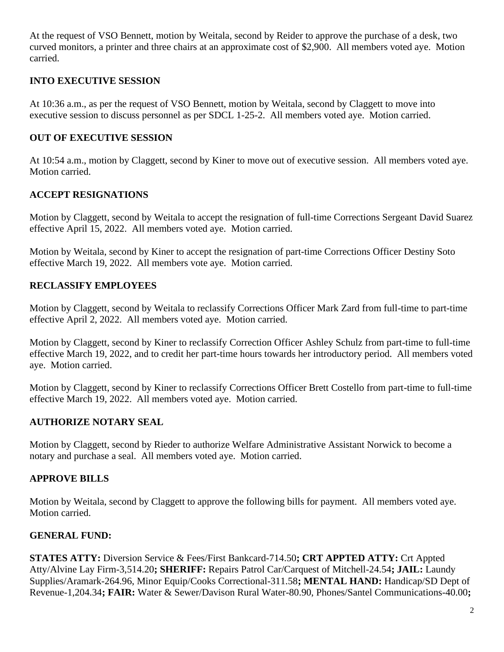At the request of VSO Bennett, motion by Weitala, second by Reider to approve the purchase of a desk, two curved monitors, a printer and three chairs at an approximate cost of \$2,900. All members voted aye. Motion carried.

### **INTO EXECUTIVE SESSION**

At 10:36 a.m., as per the request of VSO Bennett, motion by Weitala, second by Claggett to move into executive session to discuss personnel as per SDCL 1-25-2. All members voted aye. Motion carried.

## **OUT OF EXECUTIVE SESSION**

At 10:54 a.m., motion by Claggett, second by Kiner to move out of executive session. All members voted aye. Motion carried.

## **ACCEPT RESIGNATIONS**

Motion by Claggett, second by Weitala to accept the resignation of full-time Corrections Sergeant David Suarez effective April 15, 2022. All members voted aye. Motion carried.

Motion by Weitala, second by Kiner to accept the resignation of part-time Corrections Officer Destiny Soto effective March 19, 2022. All members vote aye. Motion carried.

## **RECLASSIFY EMPLOYEES**

Motion by Claggett, second by Weitala to reclassify Corrections Officer Mark Zard from full-time to part-time effective April 2, 2022. All members voted aye. Motion carried.

Motion by Claggett, second by Kiner to reclassify Correction Officer Ashley Schulz from part-time to full-time effective March 19, 2022, and to credit her part-time hours towards her introductory period. All members voted aye. Motion carried.

Motion by Claggett, second by Kiner to reclassify Corrections Officer Brett Costello from part-time to full-time effective March 19, 2022. All members voted aye. Motion carried.

# **AUTHORIZE NOTARY SEAL**

Motion by Claggett, second by Rieder to authorize Welfare Administrative Assistant Norwick to become a notary and purchase a seal. All members voted aye. Motion carried.

## **APPROVE BILLS**

Motion by Weitala, second by Claggett to approve the following bills for payment. All members voted aye. Motion carried.

# **GENERAL FUND:**

**STATES ATTY:** Diversion Service & Fees/First Bankcard-714.50**; CRT APPTED ATTY:** Crt Appted Atty/Alvine Lay Firm-3,514.20**; SHERIFF:** Repairs Patrol Car/Carquest of Mitchell-24.54**; JAIL:** Laundy Supplies/Aramark-264.96, Minor Equip/Cooks Correctional-311.58**; MENTAL HAND:** Handicap/SD Dept of Revenue-1,204.34**; FAIR:** Water & Sewer/Davison Rural Water-80.90, Phones/Santel Communications-40.00**;**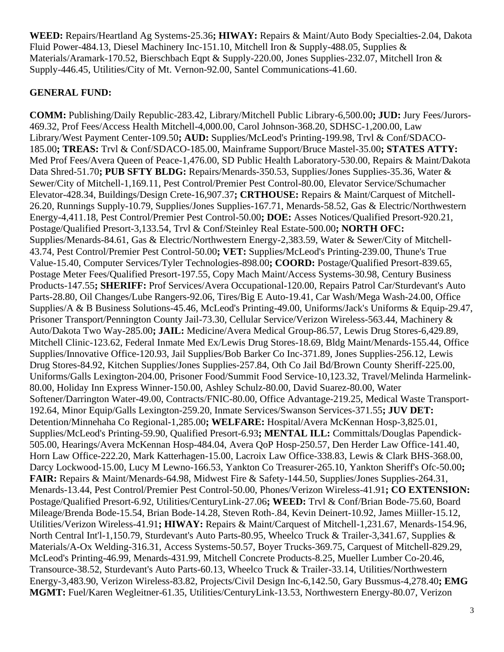**WEED:** Repairs/Heartland Ag Systems-25.36**; HIWAY:** Repairs & Maint/Auto Body Specialties-2.04, Dakota Fluid Power-484.13, Diesel Machinery Inc-151.10, Mitchell Iron & Supply-488.05, Supplies & Materials/Aramark-170.52, Bierschbach Eqpt & Supply-220.00, Jones Supplies-232.07, Mitchell Iron & Supply-446.45, Utilities/City of Mt. Vernon-92.00, Santel Communications-41.60.

## **GENERAL FUND:**

**COMM:** Publishing/Daily Republic-283.42, Library/Mitchell Public Library-6,500.00**; JUD:** Jury Fees/Jurors-469.32, Prof Fees/Access Health Mitchell-4,000.00, Carol Johnson-368.20, SDHSC-1,200.00, Law Library/West Payment Center-109.50**; AUD:** Supplies/McLeod's Printing-199.98, Trvl & Conf/SDACO-185.00**; TREAS:** Trvl & Conf/SDACO-185.00, Mainframe Support/Bruce Mastel-35.00**; STATES ATTY:** Med Prof Fees/Avera Queen of Peace-1,476.00, SD Public Health Laboratory-530.00, Repairs & Maint/Dakota Data Shred-51.70**; PUB SFTY BLDG:** Repairs/Menards-350.53, Supplies/Jones Supplies-35.36, Water & Sewer/City of Mitchell-1,169.11, Pest Control/Premier Pest Control-80.00, Elevator Service/Schumacher Elevator-428.34, Buildings/Design Crete-16,907.37**; CRTHOUSE:** Repairs & Maint/Carquest of Mitchell-26.20, Runnings Supply-10.79, Supplies/Jones Supplies-167.71, Menards-58.52, Gas & Electric/Northwestern Energy-4,411.18, Pest Control/Premier Pest Control-50.00**; DOE:** Asses Notices/Qualified Presort-920.21, Postage/Qualified Presort-3,133.54, Trvl & Conf/Steinley Real Estate-500.00**; NORTH OFC:** Supplies/Menards-84.61, Gas & Electric/Northwestern Energy-2,383.59, Water & Sewer/City of Mitchell-43.74, Pest Control/Premier Pest Control-50.00**; VET:** Supplies/McLeod's Printing-239.00, Thune's True Value-15.40, Computer Services/Tyler Technologies-898.00**; COORD:** Postage/Qualified Presort-839.65, Postage Meter Fees/Qualified Presort-197.55, Copy Mach Maint/Access Systems-30.98, Century Business Products-147.55**; SHERIFF:** Prof Services/Avera Occupational-120.00, Repairs Patrol Car/Sturdevant's Auto Parts-28.80, Oil Changes/Lube Rangers-92.06, Tires/Big E Auto-19.41, Car Wash/Mega Wash-24.00, Office Supplies/A & B Business Solutions-45.46, McLeod's Printing-49.00, Uniforms/Jack's Uniforms & Equip-29.47, Prisoner Transport/Pennington County Jail-73.30, Cellular Service/Verizon Wireless-563.44, Machinery & Auto/Dakota Two Way-285.00**; JAIL:** Medicine/Avera Medical Group-86.57, Lewis Drug Stores-6,429.89, Mitchell Clinic-123.62, Federal Inmate Med Ex/Lewis Drug Stores-18.69, Bldg Maint/Menards-155.44, Office Supplies/Innovative Office-120.93, Jail Supplies/Bob Barker Co Inc-371.89, Jones Supplies-256.12, Lewis Drug Stores-84.92, Kitchen Supplies/Jones Supplies-257.84, Oth Co Jail Bd/Brown County Sheriff-225.00, Uniforms/Galls Lexington-204.00, Prisoner Food/Summit Food Service-10,123.32, Travel/Melinda Harmelink-80.00, Holiday Inn Express Winner-150.00, Ashley Schulz-80.00, David Suarez-80.00, Water Softener/Darrington Water-49.00, Contracts/FNIC-80.00, Office Advantage-219.25, Medical Waste Transport-192.64, Minor Equip/Galls Lexington-259.20, Inmate Services/Swanson Services-371.55**; JUV DET:** Detention/Minnehaha Co Regional-1,285.00**; WELFARE:** Hospital/Avera McKennan Hosp-3,825.01, Supplies/McLeod's Printing-59.90, Qualified Presort-6.93**; MENTAL ILL:** Committals/Douglas Papendick-505.00, Hearings/Avera McKennan Hosp-484.04, Avera QoP Hosp-250.57, Den Herder Law Office-141.40, Horn Law Office-222.20, Mark Katterhagen-15.00, Lacroix Law Office-338.83, Lewis & Clark BHS-368.00, Darcy Lockwood-15.00, Lucy M Lewno-166.53, Yankton Co Treasurer-265.10, Yankton Sheriff's Ofc-50.00**; FAIR:** Repairs & Maint/Menards-64.98, Midwest Fire & Safety-144.50, Supplies/Jones Supplies-264.31, Menards-13.44, Pest Control/Premier Pest Control-50.00, Phones/Verizon Wireless-41.91**; CO EXTENSION:** Postage/Qualified Presort-6.92, Utilities/CenturyLink-27.06**; WEED:** Trvl & Conf/Brian Bode-75.60, Board Mileage/Brenda Bode-15.54, Brian Bode-14.28, Steven Roth-.84, Kevin Deinert-10.92, James Miiller-15.12, Utilities/Verizon Wireless-41.91**; HIWAY:** Repairs & Maint/Carquest of Mitchell-1,231.67, Menards-154.96, North Central Int'l-1,150.79, Sturdevant's Auto Parts-80.95, Wheelco Truck & Trailer-3,341.67, Supplies & Materials/A-Ox Welding-316.31, Access Systems-50.57, Boyer Trucks-369.75, Carquest of Mitchell-829.29, McLeod's Printing-46.99, Menards-431.99, Mitchell Concrete Products-8.25, Mueller Lumber Co-20.46, Transource-38.52, Sturdevant's Auto Parts-60.13, Wheelco Truck & Trailer-33.14, Utilities/Northwestern Energy-3,483.90, Verizon Wireless-83.82, Projects/Civil Design Inc-6,142.50, Gary Bussmus-4,278.40**; EMG MGMT:** Fuel/Karen Wegleitner-61.35, Utilities/CenturyLink-13.53, Northwestern Energy-80.07, Verizon